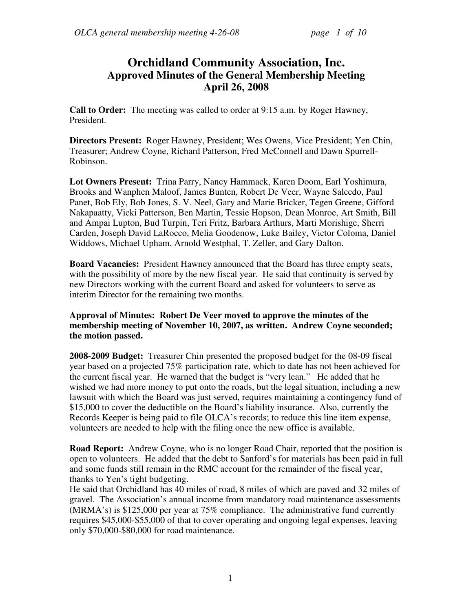# **Orchidland Community Association, Inc. Approved Minutes of the General Membership Meeting April 26, 2008**

**Call to Order:** The meeting was called to order at 9:15 a.m. by Roger Hawney, President.

**Directors Present:** Roger Hawney, President; Wes Owens, Vice President; Yen Chin, Treasurer; Andrew Coyne, Richard Patterson, Fred McConnell and Dawn Spurrell-Robinson.

**Lot Owners Present:** Trina Parry, Nancy Hammack, Karen Doom, Earl Yoshimura, Brooks and Wanphen Maloof, James Bunten, Robert De Veer, Wayne Salcedo, Paul Panet, Bob Ely, Bob Jones, S. V. Neel, Gary and Marie Bricker, Tegen Greene, Gifford Nakapaatty, Vicki Patterson, Ben Martin, Tessie Hopson, Dean Monroe, Art Smith, Bill and Ampai Lupton, Bud Turpin, Teri Fritz, Barbara Arthurs, Marti Morishige, Sherri Carden, Joseph David LaRocco, Melia Goodenow, Luke Bailey, Victor Coloma, Daniel Widdows, Michael Upham, Arnold Westphal, T. Zeller, and Gary Dalton.

**Board Vacancies:** President Hawney announced that the Board has three empty seats, with the possibility of more by the new fiscal year. He said that continuity is served by new Directors working with the current Board and asked for volunteers to serve as interim Director for the remaining two months.

# **Approval of Minutes: Robert De Veer moved to approve the minutes of the membership meeting of November 10, 2007, as written. Andrew Coyne seconded; the motion passed.**

**2008-2009 Budget:** Treasurer Chin presented the proposed budget for the 08-09 fiscal year based on a projected 75% participation rate, which to date has not been achieved for the current fiscal year. He warned that the budget is "very lean." He added that he wished we had more money to put onto the roads, but the legal situation, including a new lawsuit with which the Board was just served, requires maintaining a contingency fund of \$15,000 to cover the deductible on the Board's liability insurance. Also, currently the Records Keeper is being paid to file OLCA's records; to reduce this line item expense, volunteers are needed to help with the filing once the new office is available.

**Road Report:** Andrew Coyne, who is no longer Road Chair, reported that the position is open to volunteers. He added that the debt to Sanford's for materials has been paid in full and some funds still remain in the RMC account for the remainder of the fiscal year, thanks to Yen's tight budgeting.

He said that Orchidland has 40 miles of road, 8 miles of which are paved and 32 miles of gravel. The Association's annual income from mandatory road maintenance assessments (MRMA's) is \$125,000 per year at 75% compliance. The administrative fund currently requires \$45,000-\$55,000 of that to cover operating and ongoing legal expenses, leaving only \$70,000-\$80,000 for road maintenance.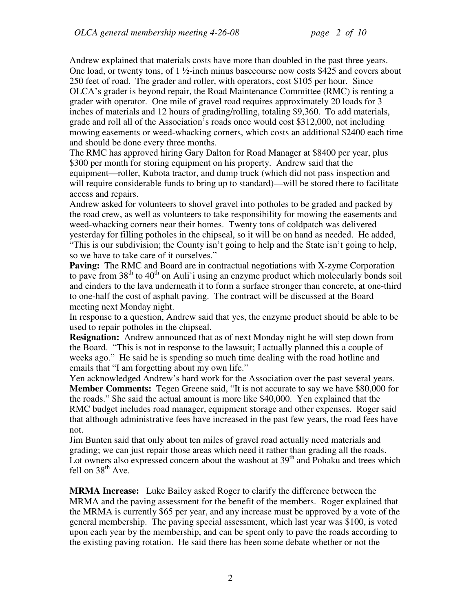Andrew explained that materials costs have more than doubled in the past three years. One load, or twenty tons, of  $1 \frac{1}{2}$ -inch minus basecourse now costs \$425 and covers about 250 feet of road. The grader and roller, with operators, cost \$105 per hour. Since OLCA's grader is beyond repair, the Road Maintenance Committee (RMC) is renting a grader with operator. One mile of gravel road requires approximately 20 loads for 3 inches of materials and 12 hours of grading/rolling, totaling \$9,360. To add materials, grade and roll all of the Association's roads once would cost \$312,000, not including mowing easements or weed-whacking corners, which costs an additional \$2400 each time and should be done every three months.

The RMC has approved hiring Gary Dalton for Road Manager at \$8400 per year, plus \$300 per month for storing equipment on his property. Andrew said that the equipment—roller, Kubota tractor, and dump truck (which did not pass inspection and will require considerable funds to bring up to standard)—will be stored there to facilitate access and repairs.

Andrew asked for volunteers to shovel gravel into potholes to be graded and packed by the road crew, as well as volunteers to take responsibility for mowing the easements and weed-whacking corners near their homes. Twenty tons of coldpatch was delivered yesterday for filling potholes in the chipseal, so it will be on hand as needed. He added, "This is our subdivision; the County isn't going to help and the State isn't going to help, so we have to take care of it ourselves."

Paving: The RMC and Board are in contractual negotiations with X-zyme Corporation to pave from  $38<sup>th</sup>$  to  $40<sup>th</sup>$  on Auli'i using an enzyme product which molecularly bonds soil and cinders to the lava underneath it to form a surface stronger than concrete, at one-third to one-half the cost of asphalt paving. The contract will be discussed at the Board meeting next Monday night.

In response to a question, Andrew said that yes, the enzyme product should be able to be used to repair potholes in the chipseal.

**Resignation:** Andrew announced that as of next Monday night he will step down from the Board. "This is not in response to the lawsuit; I actually planned this a couple of weeks ago." He said he is spending so much time dealing with the road hotline and emails that "I am forgetting about my own life."

Yen acknowledged Andrew's hard work for the Association over the past several years. **Member Comments:** Tegen Greene said, "It is not accurate to say we have \$80,000 for the roads." She said the actual amount is more like \$40,000. Yen explained that the RMC budget includes road manager, equipment storage and other expenses. Roger said that although administrative fees have increased in the past few years, the road fees have not.

Jim Bunten said that only about ten miles of gravel road actually need materials and grading; we can just repair those areas which need it rather than grading all the roads. Lot owners also expressed concern about the washout at  $39<sup>th</sup>$  and Pohaku and trees which fell on  $38<sup>th</sup>$  Ave.

**MRMA Increase:** Luke Bailey asked Roger to clarify the difference between the MRMA and the paving assessment for the benefit of the members. Roger explained that the MRMA is currently \$65 per year, and any increase must be approved by a vote of the general membership. The paving special assessment, which last year was \$100, is voted upon each year by the membership, and can be spent only to pave the roads according to the existing paving rotation. He said there has been some debate whether or not the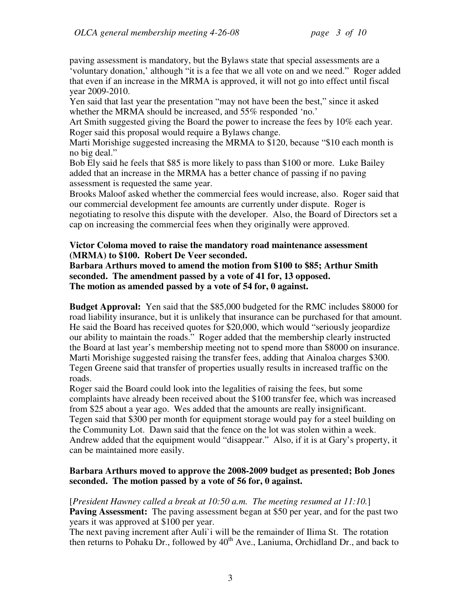paving assessment is mandatory, but the Bylaws state that special assessments are a 'voluntary donation,' although "it is a fee that we all vote on and we need." Roger added that even if an increase in the MRMA is approved, it will not go into effect until fiscal year 2009-2010.

Yen said that last year the presentation "may not have been the best," since it asked whether the MRMA should be increased, and 55% responded 'no.'

Art Smith suggested giving the Board the power to increase the fees by 10% each year. Roger said this proposal would require a Bylaws change.

Marti Morishige suggested increasing the MRMA to \$120, because "\$10 each month is no big deal."

Bob Ely said he feels that \$85 is more likely to pass than \$100 or more. Luke Bailey added that an increase in the MRMA has a better chance of passing if no paving assessment is requested the same year.

Brooks Maloof asked whether the commercial fees would increase, also. Roger said that our commercial development fee amounts are currently under dispute. Roger is negotiating to resolve this dispute with the developer. Also, the Board of Directors set a cap on increasing the commercial fees when they originally were approved.

#### **Victor Coloma moved to raise the mandatory road maintenance assessment (MRMA) to \$100. Robert De Veer seconded.**

**Barbara Arthurs moved to amend the motion from \$100 to \$85; Arthur Smith seconded. The amendment passed by a vote of 41 for, 13 opposed. The motion as amended passed by a vote of 54 for, 0 against.**

**Budget Approval:** Yen said that the \$85,000 budgeted for the RMC includes \$8000 for road liability insurance, but it is unlikely that insurance can be purchased for that amount. He said the Board has received quotes for \$20,000, which would "seriously jeopardize our ability to maintain the roads." Roger added that the membership clearly instructed the Board at last year's membership meeting not to spend more than \$8000 on insurance. Marti Morishige suggested raising the transfer fees, adding that Ainaloa charges \$300. Tegen Greene said that transfer of properties usually results in increased traffic on the roads.

Roger said the Board could look into the legalities of raising the fees, but some complaints have already been received about the \$100 transfer fee, which was increased from \$25 about a year ago. Wes added that the amounts are really insignificant. Tegen said that \$300 per month for equipment storage would pay for a steel building on the Community Lot. Dawn said that the fence on the lot was stolen within a week. Andrew added that the equipment would "disappear." Also, if it is at Gary's property, it can be maintained more easily.

#### **Barbara Arthurs moved to approve the 2008-2009 budget as presented; Bob Jones seconded. The motion passed by a vote of 56 for, 0 against.**

[*President Hawney called a break at 10:50 a.m. The meeting resumed at 11:10.*] Paving Assessment: The paving assessment began at \$50 per year, and for the past two years it was approved at \$100 per year.

The next paving increment after Auli`i will be the remainder of Ilima St. The rotation then returns to Pohaku Dr., followed by  $40<sup>th</sup>$  Ave., Laniuma, Orchidland Dr., and back to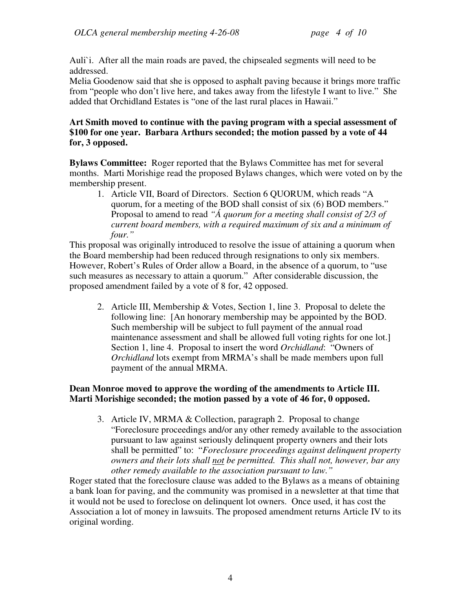Auli`i. After all the main roads are paved, the chipsealed segments will need to be addressed.

Melia Goodenow said that she is opposed to asphalt paving because it brings more traffic from "people who don't live here, and takes away from the lifestyle I want to live." She added that Orchidland Estates is "one of the last rural places in Hawaii."

# **Art Smith moved to continue with the paving program with a special assessment of \$100 for one year. Barbara Arthurs seconded; the motion passed by a vote of 44 for, 3 opposed.**

**Bylaws Committee:** Roger reported that the Bylaws Committee has met for several months. Marti Morishige read the proposed Bylaws changes, which were voted on by the membership present.

1. Article VII, Board of Directors. Section 6 QUORUM, which reads "A quorum, for a meeting of the BOD shall consist of six (6) BOD members." Proposal to amend to read *"Á quorum for a meeting shall consist of 2/3 of current board members, with a required maximum of six and a minimum of four."* 

This proposal was originally introduced to resolve the issue of attaining a quorum when the Board membership had been reduced through resignations to only six members. However, Robert's Rules of Order allow a Board, in the absence of a quorum, to "use such measures as necessary to attain a quorum." After considerable discussion, the proposed amendment failed by a vote of 8 for, 42 opposed.

2. Article III, Membership & Votes, Section 1, line 3. Proposal to delete the following line: [An honorary membership may be appointed by the BOD. Such membership will be subject to full payment of the annual road maintenance assessment and shall be allowed full voting rights for one lot.] Section 1, line 4. Proposal to insert the word *Orchidland*: "Owners of *Orchidland* lots exempt from MRMA's shall be made members upon full payment of the annual MRMA.

# **Dean Monroe moved to approve the wording of the amendments to Article III. Marti Morishige seconded; the motion passed by a vote of 46 for, 0 opposed.**

3. Article IV, MRMA & Collection, paragraph 2. Proposal to change "Foreclosure proceedings and/or any other remedy available to the association pursuant to law against seriously delinquent property owners and their lots shall be permitted" to: "*Foreclosure proceedings against delinquent property owners and their lots shall not be permitted. This shall not, however, bar any other remedy available to the association pursuant to law."* 

Roger stated that the foreclosure clause was added to the Bylaws as a means of obtaining a bank loan for paving, and the community was promised in a newsletter at that time that it would not be used to foreclose on delinquent lot owners. Once used, it has cost the Association a lot of money in lawsuits. The proposed amendment returns Article IV to its original wording.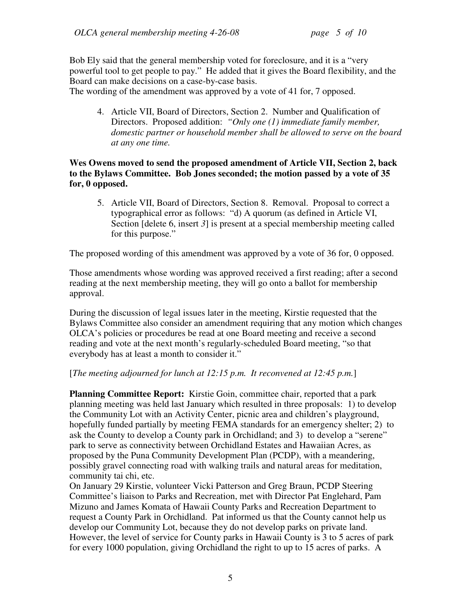Bob Ely said that the general membership voted for foreclosure, and it is a "very powerful tool to get people to pay." He added that it gives the Board flexibility, and the Board can make decisions on a case-by-case basis.

The wording of the amendment was approved by a vote of 41 for, 7 opposed.

4. Article VII, Board of Directors, Section 2. Number and Qualification of Directors. Proposed addition: *"Only one (1) immediate family member, domestic partner or household member shall be allowed to serve on the board at any one time.* 

# **Wes Owens moved to send the proposed amendment of Article VII, Section 2, back to the Bylaws Committee. Bob Jones seconded; the motion passed by a vote of 35 for, 0 opposed.**

5. Article VII, Board of Directors, Section 8. Removal. Proposal to correct a typographical error as follows: "d) A quorum (as defined in Article VI, Section [delete 6, insert 3] is present at a special membership meeting called for this purpose."

The proposed wording of this amendment was approved by a vote of 36 for, 0 opposed.

Those amendments whose wording was approved received a first reading; after a second reading at the next membership meeting, they will go onto a ballot for membership approval.

During the discussion of legal issues later in the meeting, Kirstie requested that the Bylaws Committee also consider an amendment requiring that any motion which changes OLCA's policies or procedures be read at one Board meeting and receive a second reading and vote at the next month's regularly-scheduled Board meeting, "so that everybody has at least a month to consider it."

[*The meeting adjourned for lunch at 12:15 p.m. It reconvened at 12:45 p.m.*]

**Planning Committee Report:** Kirstie Goin, committee chair, reported that a park planning meeting was held last January which resulted in three proposals: 1) to develop the Community Lot with an Activity Center, picnic area and children's playground, hopefully funded partially by meeting FEMA standards for an emergency shelter; 2) to ask the County to develop a County park in Orchidland; and 3) to develop a "serene" park to serve as connectivity between Orchidland Estates and Hawaiian Acres, as proposed by the Puna Community Development Plan (PCDP), with a meandering, possibly gravel connecting road with walking trails and natural areas for meditation, community tai chi, etc.

On January 29 Kirstie, volunteer Vicki Patterson and Greg Braun, PCDP Steering Committee's liaison to Parks and Recreation, met with Director Pat Englehard, Pam Mizuno and James Komata of Hawaii County Parks and Recreation Department to request a County Park in Orchidland. Pat informed us that the County cannot help us develop our Community Lot, because they do not develop parks on private land. However, the level of service for County parks in Hawaii County is 3 to 5 acres of park for every 1000 population, giving Orchidland the right to up to 15 acres of parks. A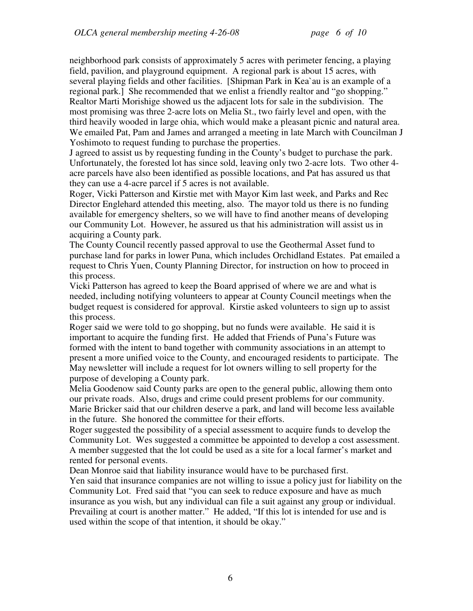neighborhood park consists of approximately 5 acres with perimeter fencing, a playing field, pavilion, and playground equipment. A regional park is about 15 acres, with several playing fields and other facilities. [Shipman Park in Kea`au is an example of a regional park.] She recommended that we enlist a friendly realtor and "go shopping." Realtor Marti Morishige showed us the adjacent lots for sale in the subdivision. The most promising was three 2-acre lots on Melia St., two fairly level and open, with the third heavily wooded in large ohia, which would make a pleasant picnic and natural area. We emailed Pat, Pam and James and arranged a meeting in late March with Councilman J Yoshimoto to request funding to purchase the properties.

J agreed to assist us by requesting funding in the County's budget to purchase the park. Unfortunately, the forested lot has since sold, leaving only two 2-acre lots. Two other 4 acre parcels have also been identified as possible locations, and Pat has assured us that they can use a 4-acre parcel if 5 acres is not available.

Roger, Vicki Patterson and Kirstie met with Mayor Kim last week, and Parks and Rec Director Englehard attended this meeting, also. The mayor told us there is no funding available for emergency shelters, so we will have to find another means of developing our Community Lot. However, he assured us that his administration will assist us in acquiring a County park.

The County Council recently passed approval to use the Geothermal Asset fund to purchase land for parks in lower Puna, which includes Orchidland Estates. Pat emailed a request to Chris Yuen, County Planning Director, for instruction on how to proceed in this process.

Vicki Patterson has agreed to keep the Board apprised of where we are and what is needed, including notifying volunteers to appear at County Council meetings when the budget request is considered for approval. Kirstie asked volunteers to sign up to assist this process.

Roger said we were told to go shopping, but no funds were available. He said it is important to acquire the funding first. He added that Friends of Puna's Future was formed with the intent to band together with community associations in an attempt to present a more unified voice to the County, and encouraged residents to participate. The May newsletter will include a request for lot owners willing to sell property for the purpose of developing a County park.

Melia Goodenow said County parks are open to the general public, allowing them onto our private roads. Also, drugs and crime could present problems for our community. Marie Bricker said that our children deserve a park, and land will become less available in the future. She honored the committee for their efforts.

Roger suggested the possibility of a special assessment to acquire funds to develop the Community Lot. Wes suggested a committee be appointed to develop a cost assessment. A member suggested that the lot could be used as a site for a local farmer's market and rented for personal events.

Dean Monroe said that liability insurance would have to be purchased first.

Yen said that insurance companies are not willing to issue a policy just for liability on the Community Lot. Fred said that "you can seek to reduce exposure and have as much insurance as you wish, but any individual can file a suit against any group or individual. Prevailing at court is another matter." He added, "If this lot is intended for use and is used within the scope of that intention, it should be okay."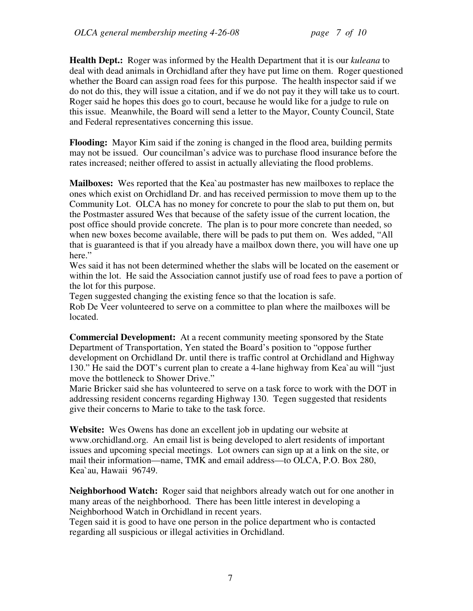**Health Dept.:** Roger was informed by the Health Department that it is our *kuleana* to deal with dead animals in Orchidland after they have put lime on them. Roger questioned whether the Board can assign road fees for this purpose. The health inspector said if we do not do this, they will issue a citation, and if we do not pay it they will take us to court. Roger said he hopes this does go to court, because he would like for a judge to rule on this issue. Meanwhile, the Board will send a letter to the Mayor, County Council, State and Federal representatives concerning this issue.

**Flooding:** Mayor Kim said if the zoning is changed in the flood area, building permits may not be issued. Our councilman's advice was to purchase flood insurance before the rates increased; neither offered to assist in actually alleviating the flood problems.

**Mailboxes:** Wes reported that the Kea`au postmaster has new mailboxes to replace the ones which exist on Orchidland Dr. and has received permission to move them up to the Community Lot. OLCA has no money for concrete to pour the slab to put them on, but the Postmaster assured Wes that because of the safety issue of the current location, the post office should provide concrete. The plan is to pour more concrete than needed, so when new boxes become available, there will be pads to put them on. Wes added, "All that is guaranteed is that if you already have a mailbox down there, you will have one up here."

Wes said it has not been determined whether the slabs will be located on the easement or within the lot. He said the Association cannot justify use of road fees to pave a portion of the lot for this purpose.

Tegen suggested changing the existing fence so that the location is safe. Rob De Veer volunteered to serve on a committee to plan where the mailboxes will be located.

**Commercial Development:** At a recent community meeting sponsored by the State Department of Transportation, Yen stated the Board's position to "oppose further development on Orchidland Dr. until there is traffic control at Orchidland and Highway 130." He said the DOT's current plan to create a 4-lane highway from Kea`au will "just move the bottleneck to Shower Drive."

Marie Bricker said she has volunteered to serve on a task force to work with the DOT in addressing resident concerns regarding Highway 130. Tegen suggested that residents give their concerns to Marie to take to the task force.

**Website:** Wes Owens has done an excellent job in updating our website at www.orchidland.org. An email list is being developed to alert residents of important issues and upcoming special meetings. Lot owners can sign up at a link on the site, or mail their information—name, TMK and email address—to OLCA, P.O. Box 280, Kea`au, Hawaii 96749.

**Neighborhood Watch:** Roger said that neighbors already watch out for one another in many areas of the neighborhood. There has been little interest in developing a Neighborhood Watch in Orchidland in recent years.

Tegen said it is good to have one person in the police department who is contacted regarding all suspicious or illegal activities in Orchidland.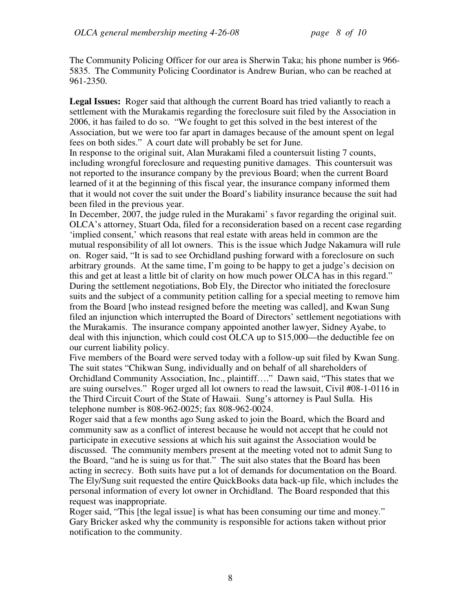The Community Policing Officer for our area is Sherwin Taka; his phone number is 966- 5835. The Community Policing Coordinator is Andrew Burian, who can be reached at 961-2350.

Legal Issues: Roger said that although the current Board has tried valiantly to reach a settlement with the Murakamis regarding the foreclosure suit filed by the Association in 2006, it has failed to do so. "We fought to get this solved in the best interest of the Association, but we were too far apart in damages because of the amount spent on legal fees on both sides." A court date will probably be set for June.

In response to the original suit, Alan Murakami filed a countersuit listing 7 counts, including wrongful foreclosure and requesting punitive damages. This countersuit was not reported to the insurance company by the previous Board; when the current Board learned of it at the beginning of this fiscal year, the insurance company informed them that it would not cover the suit under the Board's liability insurance because the suit had been filed in the previous year.

In December, 2007, the judge ruled in the Murakami' s favor regarding the original suit. OLCA's attorney, Stuart Oda, filed for a reconsideration based on a recent case regarding 'implied consent,' which reasons that real estate with areas held in common are the mutual responsibility of all lot owners. This is the issue which Judge Nakamura will rule on. Roger said, "It is sad to see Orchidland pushing forward with a foreclosure on such arbitrary grounds. At the same time, I'm going to be happy to get a judge's decision on this and get at least a little bit of clarity on how much power OLCA has in this regard." During the settlement negotiations, Bob Ely, the Director who initiated the foreclosure suits and the subject of a community petition calling for a special meeting to remove him from the Board [who instead resigned before the meeting was called], and Kwan Sung filed an injunction which interrupted the Board of Directors' settlement negotiations with the Murakamis. The insurance company appointed another lawyer, Sidney Ayabe, to deal with this injunction, which could cost OLCA up to \$15,000—the deductible fee on our current liability policy.

Five members of the Board were served today with a follow-up suit filed by Kwan Sung. The suit states "Chikwan Sung, individually and on behalf of all shareholders of Orchidland Community Association, Inc., plaintiff…." Dawn said, "This states that we are suing ourselves." Roger urged all lot owners to read the lawsuit, Civil #08-1-0116 in the Third Circuit Court of the State of Hawaii. Sung's attorney is Paul Sulla. His telephone number is 808-962-0025; fax 808-962-0024.

Roger said that a few months ago Sung asked to join the Board, which the Board and community saw as a conflict of interest because he would not accept that he could not participate in executive sessions at which his suit against the Association would be discussed. The community members present at the meeting voted not to admit Sung to the Board, "and he is suing us for that." The suit also states that the Board has been acting in secrecy. Both suits have put a lot of demands for documentation on the Board. The Ely/Sung suit requested the entire QuickBooks data back-up file, which includes the personal information of every lot owner in Orchidland. The Board responded that this request was inappropriate.

Roger said, "This [the legal issue] is what has been consuming our time and money." Gary Bricker asked why the community is responsible for actions taken without prior notification to the community.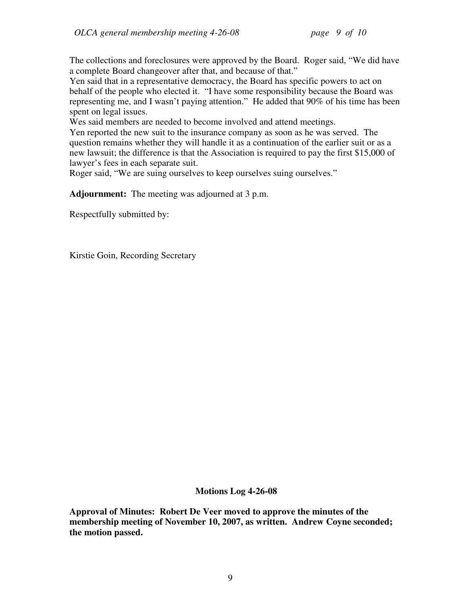The collections and foreclosures were approved by the Board. Roger said, "We did have a complete Board changeover after that, and because of that."

Yen said that in a representative democracy, the Board has specific powers to act on behalf of the people who elected it. "I have some responsibility because the Board was representing me, and I wasn't paying attention." He added that 90% of his time has been spent on legal issues.

Wes said members are needed to become involved and attend meetings.

Yen reported the new suit to the insurance company as soon as he was served. The question remains whether they will handle it as a continuation of the earlier suit or as a new lawsuit; the difference is that the Association is required to pay the first \$15,000 of lawyer's fees in each separate suit.

Roger said, "We are suing ourselves to keep ourselves suing ourselves."

**Adjournment:** The meeting was adjourned at 3 p.m.

Respectfully submitted by:

Kirstie Goin, Recording Secretary

**Motions Log 4-26-08** 

**Approval of Minutes: Robert De Veer moved to approve the minutes of the membership meeting of November 10, 2007, as written. Andrew Coyne seconded; the motion passed.**